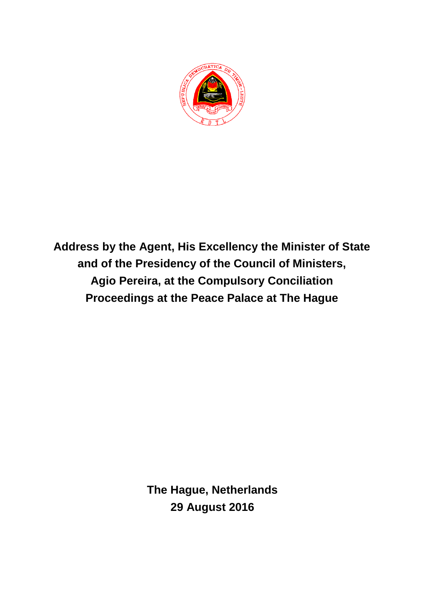

**Address by the Agent, His Excellency the Minister of State and of the Presidency of the Council of Ministers, Agio Pereira, at the Compulsory Conciliation Proceedings at the Peace Palace at The Hague**

> **The Hague, Netherlands 29 August 2016**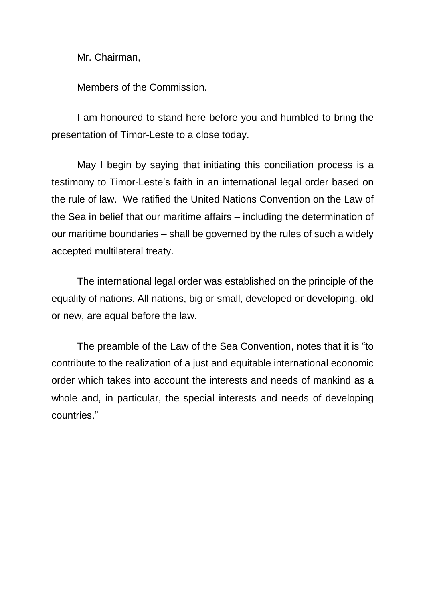Mr. Chairman,

Members of the Commission.

I am honoured to stand here before you and humbled to bring the presentation of Timor-Leste to a close today.

May I begin by saying that initiating this conciliation process is a testimony to Timor-Leste's faith in an international legal order based on the rule of law. We ratified the United Nations Convention on the Law of the Sea in belief that our maritime affairs – including the determination of our maritime boundaries – shall be governed by the rules of such a widely accepted multilateral treaty.

The international legal order was established on the principle of the equality of nations. All nations, big or small, developed or developing, old or new, are equal before the law.

The preamble of the Law of the Sea Convention, notes that it is "to contribute to the realization of a just and equitable international economic order which takes into account the interests and needs of mankind as a whole and, in particular, the special interests and needs of developing countries."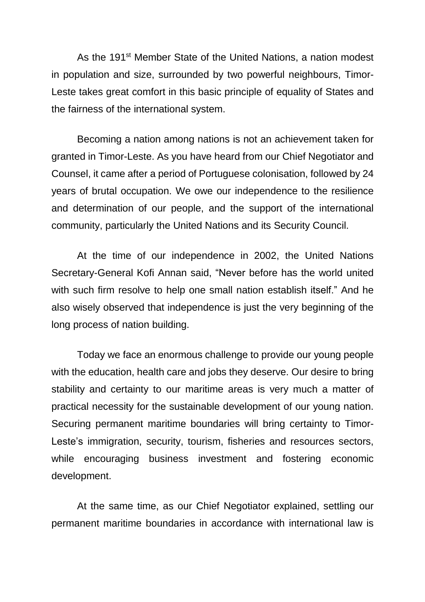As the 191<sup>st</sup> Member State of the United Nations, a nation modest in population and size, surrounded by two powerful neighbours, Timor-Leste takes great comfort in this basic principle of equality of States and the fairness of the international system.

Becoming a nation among nations is not an achievement taken for granted in Timor-Leste. As you have heard from our Chief Negotiator and Counsel, it came after a period of Portuguese colonisation, followed by 24 years of brutal occupation. We owe our independence to the resilience and determination of our people, and the support of the international community, particularly the United Nations and its Security Council.

At the time of our independence in 2002, the United Nations Secretary-General Kofi Annan said, "Never before has the world united with such firm resolve to help one small nation establish itself." And he also wisely observed that independence is just the very beginning of the long process of nation building.

Today we face an enormous challenge to provide our young people with the education, health care and jobs they deserve. Our desire to bring stability and certainty to our maritime areas is very much a matter of practical necessity for the sustainable development of our young nation. Securing permanent maritime boundaries will bring certainty to Timor-Leste's immigration, security, tourism, fisheries and resources sectors, while encouraging business investment and fostering economic development.

At the same time, as our Chief Negotiator explained, settling our permanent maritime boundaries in accordance with international law is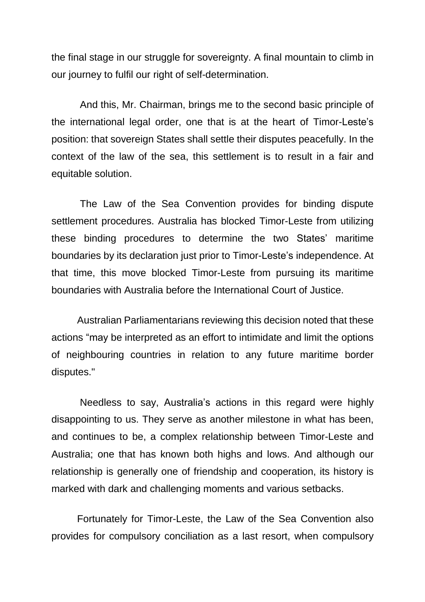the final stage in our struggle for sovereignty. A final mountain to climb in our journey to fulfil our right of self-determination.

And this, Mr. Chairman, brings me to the second basic principle of the international legal order, one that is at the heart of Timor-Leste's position: that sovereign States shall settle their disputes peacefully. In the context of the law of the sea, this settlement is to result in a fair and equitable solution.

The Law of the Sea Convention provides for binding dispute settlement procedures. Australia has blocked Timor-Leste from utilizing these binding procedures to determine the two States' maritime boundaries by its declaration just prior to Timor-Leste's independence. At that time, this move blocked Timor-Leste from pursuing its maritime boundaries with Australia before the International Court of Justice.

Australian Parliamentarians reviewing this decision noted that these actions "may be interpreted as an effort to intimidate and limit the options of neighbouring countries in relation to any future maritime border disputes."

Needless to say, Australia's actions in this regard were highly disappointing to us. They serve as another milestone in what has been, and continues to be, a complex relationship between Timor-Leste and Australia; one that has known both highs and lows. And although our relationship is generally one of friendship and cooperation, its history is marked with dark and challenging moments and various setbacks.

Fortunately for Timor-Leste, the Law of the Sea Convention also provides for compulsory conciliation as a last resort, when compulsory